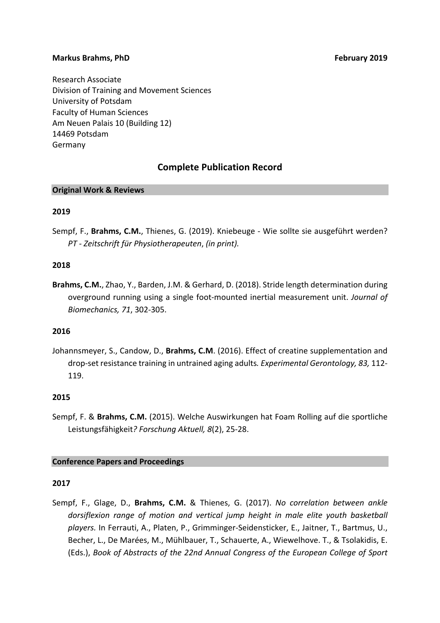#### **Markus Brahms, PhD** *N* **<b>Example 2019 CONS Example 2019 Propose 2019**

Research Associate Division of Training and Movement Sciences University of Potsdam Faculty of Human Sciences Am Neuen Palais 10 (Building 12) 14469 Potsdam Germany

# **Complete Publication Record**

#### **Original Work & Reviews**

# **2019**

Sempf, F., Brahms, C.M., Thienes, G. (2019). Kniebeuge - Wie sollte sie ausgeführt werden? *PT - Zeitschrift für Physiotherapeuten*, *(in print).*

#### **2018**

**Brahms, C.M.**, Zhao, Y., Barden, J.M. & Gerhard, D. (2018). Stride length determination during overground running using a single foot-mounted inertial measurement unit. *Journal of Biomechanics, 71*, 302-305.

#### **2016**

Johannsmeyer, S., Candow, D., **Brahms, C.M**. (2016). Effect of creatine supplementation and drop-set resistance training in untrained aging adults. Experimental Gerontology, 83, 112-119.

#### **2015**

Sempf, F. & Brahms, C.M. (2015). Welche Auswirkungen hat Foam Rolling auf die sportliche Leistungsfähigkeit? Forschung Aktuell, 8(2), 25-28.

#### **Conference Papers and Proceedings**

#### **2017**

Sempf, F., Glage, D., Brahms, C.M. & Thienes, G. (2017). No correlation between ankle dorsiflexion range of motion and vertical jump height in male elite youth basketball players. In Ferrauti, A., Platen, P., Grimminger-Seidensticker, E., Jaitner, T., Bartmus, U., Becher, L., De Marées, M., Mühlbauer, T., Schauerte, A., Wiewelhove. T., & Tsolakidis, E. (Eds.), *Book of Abstracts of the 22nd Annual Congress of the European College of Sport*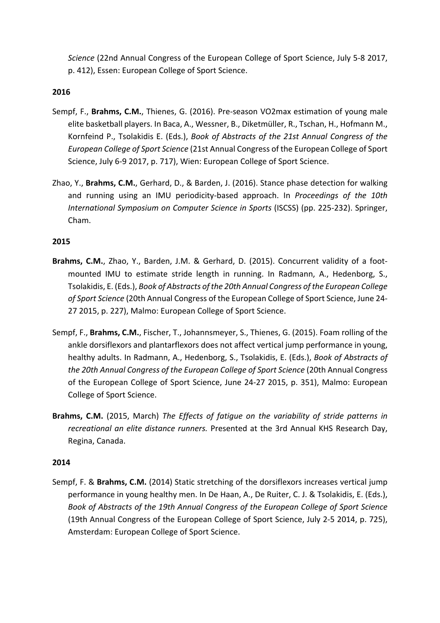*Science* (22nd Annual Congress of the European College of Sport Science, July 5-8 2017, p. 412), Essen: European College of Sport Science.

# **2016**

- Sempf, F., **Brahms, C.M.**, Thienes, G. (2016). Pre-season VO2max estimation of young male elite basketball players. In Baca, A., Wessner, B., Diketmüller, R., Tschan, H., Hofmann M., Kornfeind P., Tsolakidis E. (Eds.), *Book of Abstracts of the 21st Annual Congress of the European College of Sport Science* (21st Annual Congress of the European College of Sport Science, July 6-9 2017, p. 717), Wien: European College of Sport Science.
- Zhao, Y., Brahms, C.M., Gerhard, D., & Barden, J. (2016). Stance phase detection for walking and running using an IMU periodicity-based approach. In *Proceedings of the 10th International Symposium on Computer Science in Sports* (ISCSS) (pp. 225-232). Springer, Cham.

# **2015**

- **Brahms, C.M.**, Zhao, Y., Barden, J.M. & Gerhard, D. (2015). Concurrent validity of a footmounted IMU to estimate stride length in running. In Radmann, A., Hedenborg, S., Tsolakidis, E. (Eds.), *Book of Abstracts of the 20th Annual Congress of the European College* of Sport Science (20th Annual Congress of the European College of Sport Science, June 24-27 2015, p. 227), Malmo: European College of Sport Science.
- Sempf, F., **Brahms, C.M.**, Fischer, T., Johannsmeyer, S., Thienes, G. (2015). Foam rolling of the ankle dorsiflexors and plantarflexors does not affect vertical jump performance in young, healthy adults. In Radmann, A., Hedenborg, S., Tsolakidis, E. (Eds.), *Book of Abstracts of* the 20th Annual Congress of the European College of Sport Science (20th Annual Congress of the European College of Sport Science, June 24-27 2015, p. 351), Malmo: European College of Sport Science.
- **Brahms, C.M.** (2015, March) The Effects of fatigue on the variability of stride patterns in recreational an elite distance runners. Presented at the 3rd Annual KHS Research Day, Regina, Canada.

#### **2014**

Sempf, F. & Brahms, C.M. (2014) Static stretching of the dorsiflexors increases vertical jump performance in young healthy men. In De Haan, A., De Ruiter, C. J. & Tsolakidis, E. (Eds.), Book of Abstracts of the 19th Annual Congress of the European College of Sport Science (19th Annual Congress of the European College of Sport Science, July 2-5 2014, p. 725), Amsterdam: European College of Sport Science.